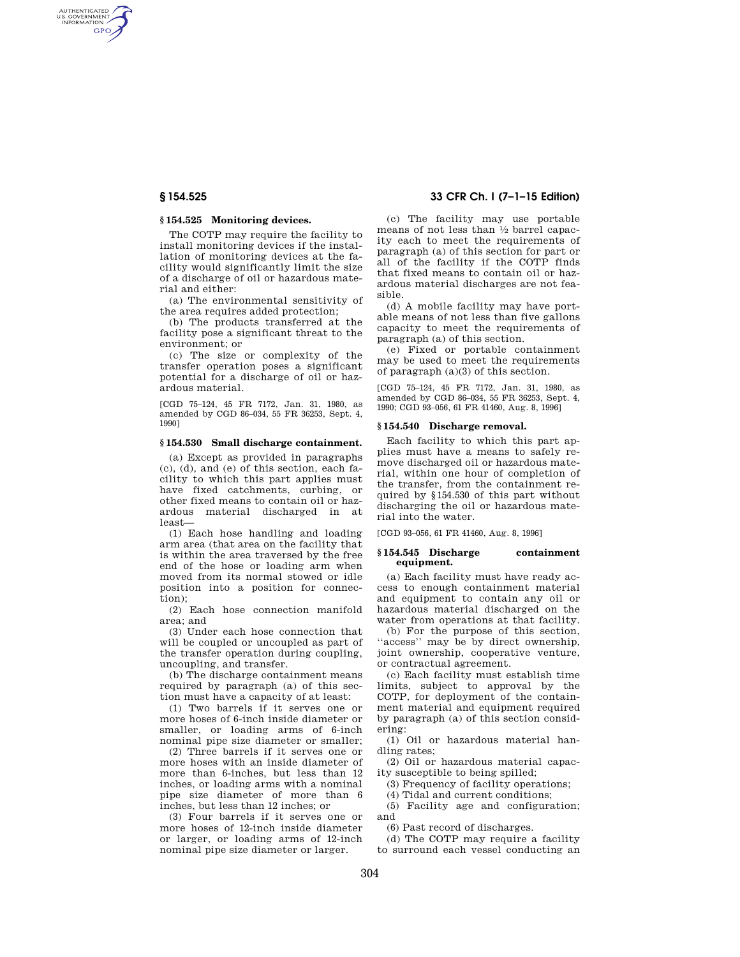AUTHENTICATED<br>U.S. GOVERNMENT<br>INFORMATION **GPO** 

# **§ 154.525 Monitoring devices.**

The COTP may require the facility to install monitoring devices if the installation of monitoring devices at the facility would significantly limit the size of a discharge of oil or hazardous material and either:

(a) The environmental sensitivity of the area requires added protection;

(b) The products transferred at the facility pose a significant threat to the environment; or

(c) The size or complexity of the transfer operation poses a significant potential for a discharge of oil or hazardous material.

[CGD 75–124, 45 FR 7172, Jan. 31, 1980, as amended by CGD 86–034, 55 FR 36253, Sept. 4, 1990]

# **§ 154.530 Small discharge containment.**

(a) Except as provided in paragraphs (c), (d), and (e) of this section, each facility to which this part applies must have fixed catchments, curbing, or other fixed means to contain oil or hazardous material discharged in at least—

(1) Each hose handling and loading arm area (that area on the facility that is within the area traversed by the free end of the hose or loading arm when moved from its normal stowed or idle position into a position for connection);

(2) Each hose connection manifold area; and

(3) Under each hose connection that will be coupled or uncoupled as part of the transfer operation during coupling, uncoupling, and transfer.

(b) The discharge containment means required by paragraph (a) of this section must have a capacity of at least:

(1) Two barrels if it serves one or more hoses of 6-inch inside diameter or smaller, or loading arms of 6-inch nominal pipe size diameter or smaller;

(2) Three barrels if it serves one or more hoses with an inside diameter of more than 6-inches, but less than 12 inches, or loading arms with a nominal pipe size diameter of more than 6 inches, but less than 12 inches; or

(3) Four barrels if it serves one or more hoses of 12-inch inside diameter or larger, or loading arms of 12-inch nominal pipe size diameter or larger.

# **§ 154.525 33 CFR Ch. I (7–1–15 Edition)**

(c) The facility may use portable means of not less than 1⁄2 barrel capacity each to meet the requirements of paragraph (a) of this section for part or all of the facility if the COTP finds that fixed means to contain oil or hazardous material discharges are not feasible.

(d) A mobile facility may have portable means of not less than five gallons capacity to meet the requirements of paragraph (a) of this section.

(e) Fixed or portable containment may be used to meet the requirements of paragraph (a)(3) of this section.

[CGD 75–124, 45 FR 7172, Jan. 31, 1980, as amended by CGD 86–034, 55 FR 36253, Sept. 4, 1990; CGD 93–056, 61 FR 41460, Aug. 8, 1996]

### **§ 154.540 Discharge removal.**

Each facility to which this part applies must have a means to safely remove discharged oil or hazardous material, within one hour of completion of the transfer, from the containment required by §154.530 of this part without discharging the oil or hazardous material into the water.

[CGD 93–056, 61 FR 41460, Aug. 8, 1996]

### **§ 154.545 Discharge containment equipment.**

(a) Each facility must have ready access to enough containment material and equipment to contain any oil or hazardous material discharged on the water from operations at that facility.

(b) For the purpose of this section, ''access'' may be by direct ownership, joint ownership, cooperative venture, or contractual agreement.

(c) Each facility must establish time limits, subject to approval by the COTP, for deployment of the containment material and equipment required by paragraph (a) of this section considering:

(1) Oil or hazardous material handling rates;

(2) Oil or hazardous material capacity susceptible to being spilled;

(3) Frequency of facility operations;

(4) Tidal and current conditions;

(5) Facility age and configuration; and

(6) Past record of discharges.

(d) The COTP may require a facility to surround each vessel conducting an